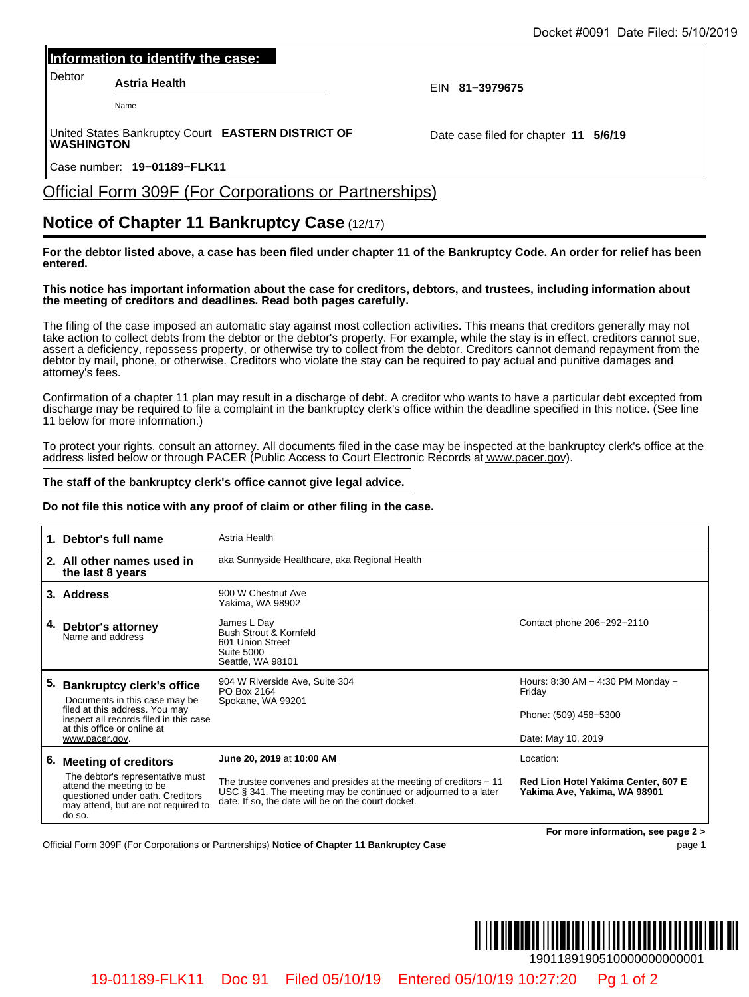#### **Information to identify the case:**

### Official Form 309F (For Corporations or Partnerships)

## **Notice of Chapter 11 Bankruptcy Case** (12/17)

#### **This notice has important information about the case for creditors, debtors, and trustees, including information about the meeting of creditors and deadlines. Read both pages carefully.**

#### **The staff of the bankruptcy clerk's office cannot give legal advice.**

#### **Do not file this notice with any proof of claim or other filing in the case.**

| Information to identify the case:                                                                                                                 |                                                                                                                                                                                             |                                                                                                                                                                                                                                                                                                                                                                                                                                                                                                                                              |
|---------------------------------------------------------------------------------------------------------------------------------------------------|---------------------------------------------------------------------------------------------------------------------------------------------------------------------------------------------|----------------------------------------------------------------------------------------------------------------------------------------------------------------------------------------------------------------------------------------------------------------------------------------------------------------------------------------------------------------------------------------------------------------------------------------------------------------------------------------------------------------------------------------------|
| Debtor<br><b>Astria Health</b>                                                                                                                    |                                                                                                                                                                                             |                                                                                                                                                                                                                                                                                                                                                                                                                                                                                                                                              |
| Name                                                                                                                                              |                                                                                                                                                                                             | EIN 81-3979675                                                                                                                                                                                                                                                                                                                                                                                                                                                                                                                               |
| United States Bankruptcy Court EASTERN DISTRICT OF<br><b>WASHINGTON</b>                                                                           |                                                                                                                                                                                             | Date case filed for chapter 11 5/6/19                                                                                                                                                                                                                                                                                                                                                                                                                                                                                                        |
| Case number: 19-01189-FLK11                                                                                                                       |                                                                                                                                                                                             |                                                                                                                                                                                                                                                                                                                                                                                                                                                                                                                                              |
|                                                                                                                                                   | <b>Official Form 309F (For Corporations or Partnerships)</b>                                                                                                                                |                                                                                                                                                                                                                                                                                                                                                                                                                                                                                                                                              |
|                                                                                                                                                   | <b>Notice of Chapter 11 Bankruptcy Case (12/17)</b>                                                                                                                                         |                                                                                                                                                                                                                                                                                                                                                                                                                                                                                                                                              |
| entered.                                                                                                                                          |                                                                                                                                                                                             | For the debtor listed above, a case has been filed under chapter 11 of the Bankruptcy Code. An order for relief has been                                                                                                                                                                                                                                                                                                                                                                                                                     |
|                                                                                                                                                   | the meeting of creditors and deadlines. Read both pages carefully.                                                                                                                          | This notice has important information about the case for creditors, debtors, and trustees, including information about                                                                                                                                                                                                                                                                                                                                                                                                                       |
| attorney's fees.                                                                                                                                  |                                                                                                                                                                                             | The filing of the case imposed an automatic stay against most collection activities. This means that creditors generally may not<br>take action to collect debts from the debtor or the debtor's property. For example, while the stay is in effect, creditors cannot sue,<br>assert a deficiency, repossess property, or otherwise try to collect from the debtor. Creditors cannot demand repayment from the<br>debtor by mail, phone, or otherwise. Creditors who violate the stay can be required to pay actual and punitive damages and |
| 11 below for more information.)                                                                                                                   |                                                                                                                                                                                             | Confirmation of a chapter 11 plan may result in a discharge of debt. A creditor who wants to have a particular debt excepted from<br>discharge may be required to file a complaint in the bankruptcy clerk's office within the deadline specified in this notice. (See line                                                                                                                                                                                                                                                                  |
|                                                                                                                                                   |                                                                                                                                                                                             | To protect your rights, consult an attorney. All documents filed in the case may be inspected at the bankruptcy clerk's office at the<br>address listed below or through PACER (Public Access to Court Electronic Records at www.pacer.gov).                                                                                                                                                                                                                                                                                                 |
|                                                                                                                                                   | The staff of the bankruptcy clerk's office cannot give legal advice.                                                                                                                        |                                                                                                                                                                                                                                                                                                                                                                                                                                                                                                                                              |
|                                                                                                                                                   | Do not file this notice with any proof of claim or other filing in the case.                                                                                                                |                                                                                                                                                                                                                                                                                                                                                                                                                                                                                                                                              |
| 1. Debtor's full name                                                                                                                             | Astria Health                                                                                                                                                                               |                                                                                                                                                                                                                                                                                                                                                                                                                                                                                                                                              |
| 2. All other names used in<br>the last 8 years                                                                                                    | aka Sunnyside Healthcare, aka Regional Health                                                                                                                                               |                                                                                                                                                                                                                                                                                                                                                                                                                                                                                                                                              |
| 3. Address                                                                                                                                        | 900 W Chestnut Ave<br>Yakima, WA 98902                                                                                                                                                      |                                                                                                                                                                                                                                                                                                                                                                                                                                                                                                                                              |
| 4. Debtor's attorney<br>Name and address                                                                                                          | James L Day<br>Bush Strout & Kornfeld<br>601 Union Street<br><b>Suite 5000</b><br>Seattle, WA 98101                                                                                         | Contact phone 206-292-2110                                                                                                                                                                                                                                                                                                                                                                                                                                                                                                                   |
| 5. Bankruptcy clerk's office<br>Documents in this case may be                                                                                     | 904 W Riverside Ave, Suite 304<br>PO Box 2164<br>Spokane, WA 99201                                                                                                                          | Hours: 8:30 AM - 4:30 PM Monday -<br>Friday                                                                                                                                                                                                                                                                                                                                                                                                                                                                                                  |
| filed at this address. You may<br>inspect all records filed in this case<br>at this office or online at<br>www.pacer.gov.                         |                                                                                                                                                                                             | Phone: (509) 458-5300                                                                                                                                                                                                                                                                                                                                                                                                                                                                                                                        |
|                                                                                                                                                   |                                                                                                                                                                                             | Date: May 10, 2019                                                                                                                                                                                                                                                                                                                                                                                                                                                                                                                           |
| 6. Meeting of creditors                                                                                                                           | June 20, 2019 at 10:00 AM                                                                                                                                                                   | Location:                                                                                                                                                                                                                                                                                                                                                                                                                                                                                                                                    |
| The debtor's representative must<br>attend the meeting to be<br>questioned under oath. Creditors<br>may attend, but are not required to<br>do so. | The trustee convenes and presides at the meeting of creditors - 11<br>USC § 341. The meeting may be continued or adjourned to a later<br>date. If so, the date will be on the court docket. | Red Lion Hotel Yakima Center, 607 E<br>Yakima Ave, Yakima, WA 98901                                                                                                                                                                                                                                                                                                                                                                                                                                                                          |
|                                                                                                                                                   | Official Form 309F (For Corporations or Partnerships) Notice of Chapter 11 Bankruptcy Case                                                                                                  | For more information, see page 2 ><br>page 1                                                                                                                                                                                                                                                                                                                                                                                                                                                                                                 |
|                                                                                                                                                   |                                                                                                                                                                                             |                                                                                                                                                                                                                                                                                                                                                                                                                                                                                                                                              |
|                                                                                                                                                   |                                                                                                                                                                                             |                                                                                                                                                                                                                                                                                                                                                                                                                                                                                                                                              |
|                                                                                                                                                   |                                                                                                                                                                                             |                                                                                                                                                                                                                                                                                                                                                                                                                                                                                                                                              |
|                                                                                                                                                   |                                                                                                                                                                                             | 1901189190510000000000001                                                                                                                                                                                                                                                                                                                                                                                                                                                                                                                    |

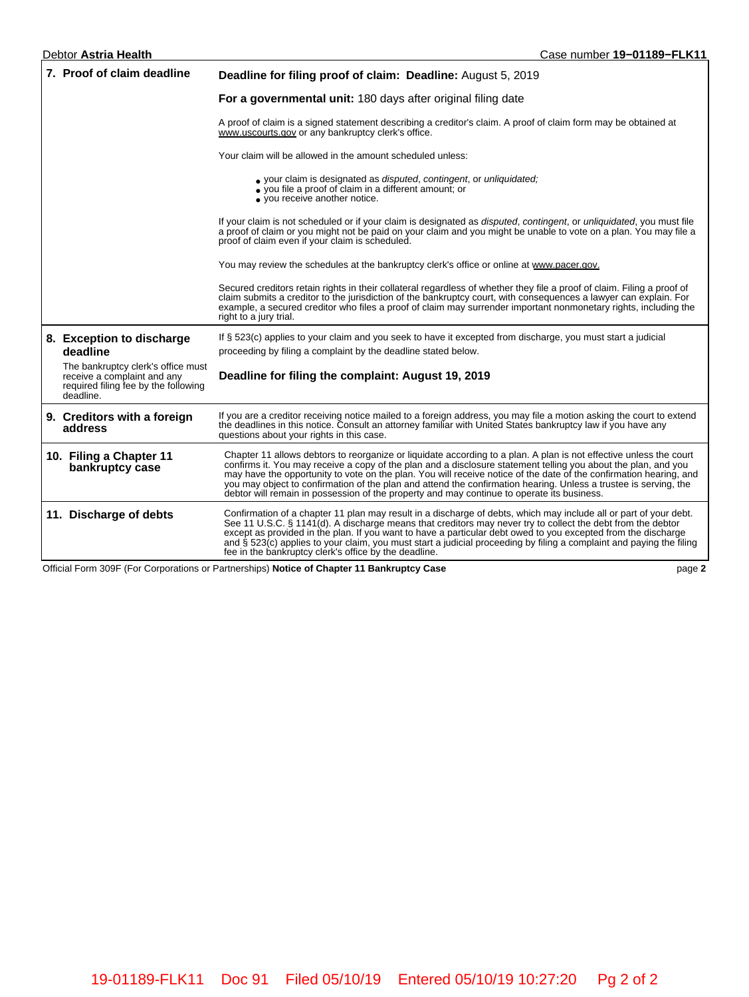#### Debtor **Astria Health** Case number **19−01189−FLK11 7. Proof of claim deadline Deadline for filing proof of claim: Deadline:** August 5, 2019 **For a governmental unit:** 180 days after original filing date A proof of claim is a signed statement describing a creditor's claim. A proof of claim form may be obtained at [www.uscourts.gov](http://www.uscourts.gov/) or any bankruptcy clerk's office. Your claim will be allowed in the amount scheduled unless: your claim is designated as disputed, contingent, or unliquidated; • you file a proof of claim in a different amount; or • you receive another notice. • If your claim is not scheduled or if your claim is designated as disputed, contingent, or unliquidated, you must file a proof of claim or you might not be paid on your claim and you might be unable to vote on a plan. You may file a proof of claim even if your claim is scheduled. You may review the schedules at the bankruptcy clerk's office or online at [www.pacer.gov.](https://www.pacer.gov/) Secured creditors retain rights in their collateral regardless of whether they file a proof of claim. Filing a proof of claim submits a creditor to the jurisdiction of the bankruptcy court, with consequences a lawyer can explain. For example, a secured creditor who files a proof of claim may surrender important nonmonetary rights, including the right to a jury trial. **8. Exception to discharge deadline** The bankruptcy clerk's office must receive a complaint and any required filing fee by the following deadline. If § 523(c) applies to your claim and you seek to have it excepted from discharge, you must start a judicial proceeding by filing a complaint by the deadline stated below. **Deadline for filing the complaint: August 19, 2019 9. Creditors with a foreign address** If you are a creditor receiving notice mailed to a foreign address, you may file a motion asking the court to extend<br>the deadlines in this notice. Consult an attorney familiar with United States bankruptcy law if you have questions about your rights in this case. **10. Filing a Chapter 11 bankruptcy case** Chapter 11 allows debtors to reorganize or liquidate according to a plan. A plan is not effective unless the court confirms it. You may receive a copy of the plan and a disclosure statement telling you about the plan, and you may have the opportunity to vote on the plan. You will receive notice of the date of the confirmation hearing, and you may object to confirmation of the plan and attend the confirmation hearing. Unless a trustee is serving, the debtor will remain in possession of the property and may continue to operate its business. **11. Discharge of debts** Confirmation of a chapter 11 plan may result in a discharge of debts, which may include all or part of your debt. See 11 U.S.C. § 1141(d). A discharge means that creditors may never try to collect the debt from the debtor except as provided in the plan. If you want to have a particular debt owed to you excepted from the discharge<br>and § 523(c) applies to your claim, you must start a judicial proceeding by filing a complaint and paying the fi fee in the bankruptcy clerk's office by the deadline.

Official Form 309F (For Corporations or Partnerships) **Notice of Chapter 11 Bankruptcy Case** page **2**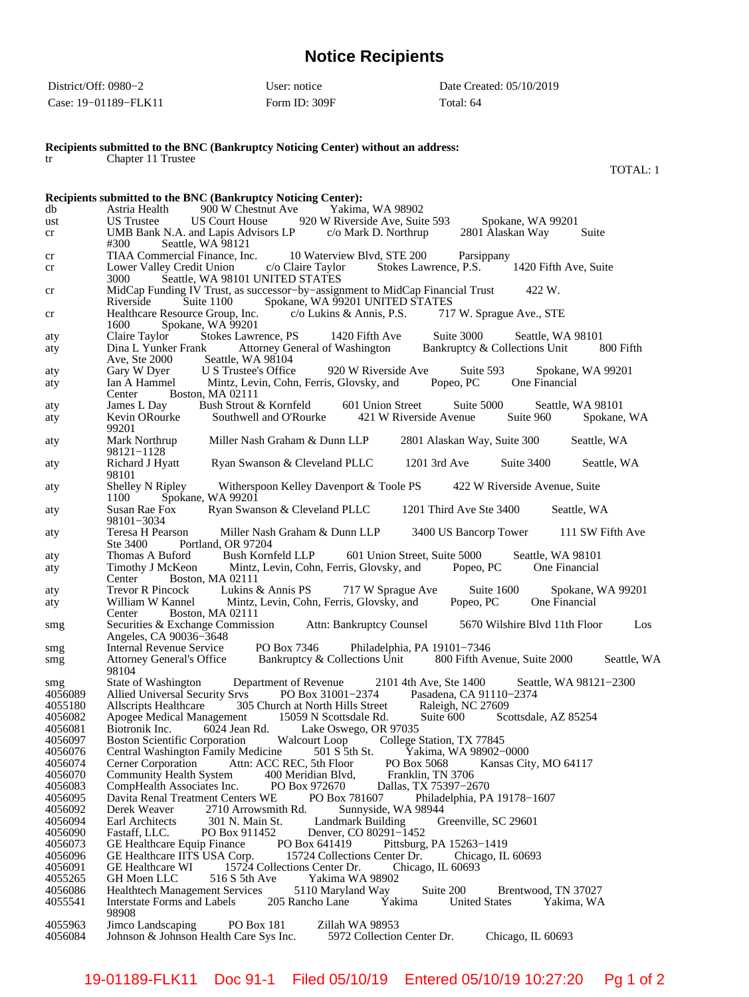# **Notice Recipients**

| District/Off: 0980–2 | User: notice    | Date Created: 05/10/2019 |
|----------------------|-----------------|--------------------------|
| Case: 19-01189-FLK11 | Form ID: $309F$ | Total: 64                |

**Recipients submitted to the BNC (Bankruptcy Noticing Center) without an address:**

tr Chapter 11 Trustee

TOTAL: 1

|         | Recipients submitted to the BNC (Bankruptcy Noticing Center):                                                                                                                                                                                                                                |
|---------|----------------------------------------------------------------------------------------------------------------------------------------------------------------------------------------------------------------------------------------------------------------------------------------------|
| db      | Astria Health 900 W Chestnut Ave Yakima, WA 98902                                                                                                                                                                                                                                            |
| ust     | US Court House 920 W Riverside Ave, Suite 593<br><b>US</b> Trustee<br>Spokane, WA 99201                                                                                                                                                                                                      |
| cr      | 2801 Alaskan Way<br>UMB Bank N.A. and Lapis Advisors LP c/o Mark D. Northrup<br>Suite<br>#300<br>Seattle, WA 98121                                                                                                                                                                           |
| cr      |                                                                                                                                                                                                                                                                                              |
| cr      | TIAA Commercial Finance, Inc. 10 Waterview Blvd, STE 200 Parsippany<br>Lower Valley Credit Union c/o Claire Taylor Stokes Lawrence, P.S. 1420 Fifth Ave, Suite<br>Seattle, WA 98101 UNITED STATES<br>3000                                                                                    |
| cr      | MidCap Funding IV Trust, as successor-by-assignment to MidCap Financial Trust<br>422 W.<br>Riverside Suite 1100 Spokane, WA 99201 UNITED STATES                                                                                                                                              |
| cr      | Healthcare Resource Group, Inc. c/o Lukins & Annis, P.S. 717 W. Sprague Ave., STE<br>1600<br>Spokane, WA 99201                                                                                                                                                                               |
| aty     | Stokes Lawrence, PS 1420 Fifth Ave<br>Suite $3000$<br>Claire Taylor<br>Seattle, WA 98101                                                                                                                                                                                                     |
| aty     | Dina L Yunker Frank Attorney General of Washington<br>Bankruptcy & Collections Unit 800 Fifth<br>Ave, Ste 2000 Seattle, WA 98104<br>Gary W Dyer U S Trustee's Office 920 W Riverside Ave Suite 593 Spokane,<br>Ian A Hammel Mintz, Levin, Cohn, Ferris, Glovsky, and Popeo, PC One Financial |
| aty     | Spokane, WA 99201                                                                                                                                                                                                                                                                            |
| aty     |                                                                                                                                                                                                                                                                                              |
|         | Center Boston, MA 02111                                                                                                                                                                                                                                                                      |
| aty     | James L Day Bush Strout & Kornfeld 601 Union Street Suite 5000<br>Seattle, WA 98101                                                                                                                                                                                                          |
| aty     | Kevin ORourke Southwell and O'Rourke 421 W Riverside Avenue Suite 960 Spokane, WA<br>99201                                                                                                                                                                                                   |
| aty     | Mark Northrup<br>Miller Nash Graham & Dunn LLP 2801 Alaskan Way, Suite 300<br>Seattle, WA<br>98121-1128                                                                                                                                                                                      |
| aty     | Richard J Hyatt Ryan Swanson & Cleveland PLLC 1201 3rd Ave Suite 3400 Seattle, WA<br>98101                                                                                                                                                                                                   |
| aty     | Shelley N Ripley Witherspoon Kelley Davenport & Toole PS 422 W Riverside Avenue, Suite<br>Spokane, WA 99201<br>1100                                                                                                                                                                          |
| aty     | Susan Rae Fox Ryan Swanson & Cleveland PLLC 1201 Third Ave Ste 3400 Seattle, WA<br>98101-3034                                                                                                                                                                                                |
| aty     | Teresa H Pearson Miller Nash Graham & Dunn LLP 3400 US Bancorp Tower 111 SW Fifth Ave<br>Ste 3400<br>Portland, OR 97204                                                                                                                                                                      |
| aty     |                                                                                                                                                                                                                                                                                              |
| aty     | Thomas A Buford Bush Kornfeld LLP 601 Union Street, Suite 5000 Seattle, WA 98101<br>Timothy J McKeon Mintz, Levin, Cohn, Ferris, Glovsky, and Popeo, PC One Financial                                                                                                                        |
|         | Boston, MA 02111<br>Center                                                                                                                                                                                                                                                                   |
| aty     | Trevor R Pincock Lukins & Annis PS 717 W Sprague Ave<br>Suite 1600<br>Spokane, WA 99201                                                                                                                                                                                                      |
| aty     | William W Kannel Mintz, Levin, Cohn, Ferris, Glovsky, and Popeo, PC One Financial<br>Center Boston, MA 02111                                                                                                                                                                                 |
| smg     | Securities & Exchange Commission Attn: Bankruptcy Counsel 5670 Wilshire Blvd 11th Floor Los<br>Angeles, CA 90036-3648                                                                                                                                                                        |
| smg     |                                                                                                                                                                                                                                                                                              |
| smg     | Internal Revenue Service PO Box 7346 Philadelphia, PA 19101–7346<br>Attorney General's Office Bankruptcy & Collections Unit 800 Fifth Avenue, Suite 2000<br>Seattle, WA<br>98104                                                                                                             |
| smg     | State of Washington Department of Revenue 2101 4th Ave, Ste 1400 Seattle, WA 98121-2300                                                                                                                                                                                                      |
| 4056089 | Allied Universal Security Srvs PO Box 31001-2374 Pasadena, CA 91110-2374                                                                                                                                                                                                                     |
| 4055180 | Allscripts Healthcare 305 Church at North Hills Street Raleigh, NC 27609<br>Apogee Medical Management 15059 N Scottsdale Rd. Suite 600 Sco                                                                                                                                                   |
| 4056082 | Suite 600 Scottsdale, AZ 85254                                                                                                                                                                                                                                                               |
| 4056081 | Biotronik Inc. 6024 Jean Rd. Lake Oswego, OR 97035                                                                                                                                                                                                                                           |
| 4056097 | Boston Scientific Corporation Walcourt Loop College Station, TX 77845                                                                                                                                                                                                                        |
| 4056076 | Central Washington Family Medicine<br>501 S 5th St. Yakima, WA 98902-0000                                                                                                                                                                                                                    |
| 4056074 | Attn: ACC REC, 5th Floor<br>Cerner Corporation<br>PO Box 5068<br>Kansas City, MO 64117                                                                                                                                                                                                       |
| 4056070 | <b>Community Health System</b><br>Franklin, TN 3706<br>400 Meridian Blvd,                                                                                                                                                                                                                    |
| 4056083 | CompHealth Associates Inc.<br>PO Box 972670<br>Dallas, TX 75397-2670                                                                                                                                                                                                                         |
| 4056095 | PO Box 781607<br>Davita Renal Treatment Centers WE<br>Philadelphia, PA 19178-1607                                                                                                                                                                                                            |
| 4056092 | Derek Weaver<br>2710 Arrowsmith Rd.<br>Sunnyside, WA 98944                                                                                                                                                                                                                                   |
| 4056094 | Earl Architects<br>301 N. Main St.<br>Landmark Building<br>Greenville, SC 29601                                                                                                                                                                                                              |
| 4056090 | Fastaff, LLC.<br>PO Box 911452<br>Denver, CO 80291-1452                                                                                                                                                                                                                                      |
| 4056073 | GE Healthcare Equip Finance<br>PO Box 641419<br>Pittsburg, PA 15263-1419                                                                                                                                                                                                                     |
| 4056096 | GE Healthcare IITS USA Corp.<br>15724 Collections Center Dr.<br>Chicago, IL 60693                                                                                                                                                                                                            |
| 4056091 | 15724 Collections Center Dr.<br><b>GE</b> Healthcare WI<br>Chicago, IL 60693                                                                                                                                                                                                                 |
| 4055265 | GH Moen LLC<br>516 S 5th Ave<br>Yakima WA 98902                                                                                                                                                                                                                                              |
| 4056086 | Suite 200<br><b>Healthtech Management Services</b><br>5110 Maryland Way<br>Brentwood, TN 37027                                                                                                                                                                                               |
| 4055541 | 205 Rancho Lane<br><b>United States</b><br><b>Interstate Forms and Labels</b><br>Yakima<br>Yakima, WA<br>98908                                                                                                                                                                               |
| 4055963 | Jimco Landscaping<br>PO Box 181<br>Zillah WA 98953                                                                                                                                                                                                                                           |
| 4056084 | Johnson & Johnson Health Care Sys Inc.<br>5972 Collection Center Dr.<br>Chicago, IL 60693                                                                                                                                                                                                    |